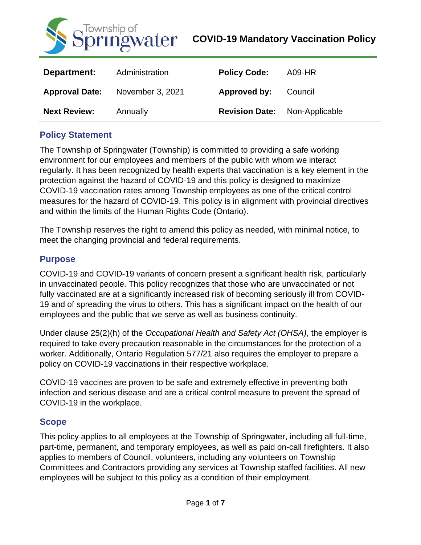

| Department:           | Administration   | <b>Policy Code:</b>   | A09-HR         |
|-----------------------|------------------|-----------------------|----------------|
| <b>Approval Date:</b> | November 3, 2021 | Approved by:          | Council        |
| <b>Next Review:</b>   | Annually         | <b>Revision Date:</b> | Non-Applicable |

### **Policy Statement**

The Township of Springwater (Township) is committed to providing a safe working environment for our employees and members of the public with whom we interact regularly. It has been recognized by health experts that vaccination is a key element in the protection against the hazard of COVID-19 and this policy is designed to maximize COVID-19 vaccination rates among Township employees as one of the critical control measures for the hazard of COVID-19. This policy is in alignment with provincial directives and within the limits of the Human Rights Code (Ontario).

The Township reserves the right to amend this policy as needed, with minimal notice, to meet the changing provincial and federal requirements.

### **Purpose**

COVID-19 and COVID-19 variants of concern present a significant health risk, particularly in unvaccinated people. This policy recognizes that those who are unvaccinated or not fully vaccinated are at a significantly increased risk of becoming seriously ill from COVID-19 and of spreading the virus to others. This has a significant impact on the health of our employees and the public that we serve as well as business continuity.

Under clause 25(2)(h) of the *Occupational Health and Safety Act (OHSA)*, the employer is required to take every precaution reasonable in the circumstances for the protection of a worker. Additionally, Ontario Regulation 577/21 also requires the employer to prepare a policy on COVID-19 vaccinations in their respective workplace.

COVID-19 vaccines are proven to be safe and extremely effective in preventing both infection and serious disease and are a critical control measure to prevent the spread of COVID-19 in the workplace.

### **Scope**

This policy applies to all employees at the Township of Springwater, including all full-time, part-time, permanent, and temporary employees, as well as paid on-call firefighters. It also applies to members of Council, volunteers, including any volunteers on Township Committees and Contractors providing any services at Township staffed facilities. All new employees will be subject to this policy as a condition of their employment.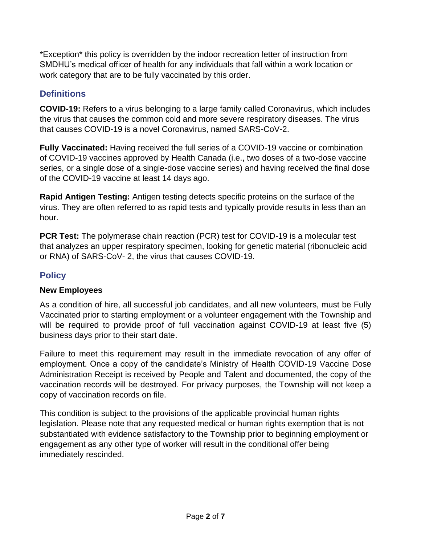\*Exception\* this policy is overridden by the indoor recreation letter of instruction from SMDHU's medical officer of health for any individuals that fall within a work location or work category that are to be fully vaccinated by this order.

# **Definitions**

**COVID-19:** Refers to a virus belonging to a large family called Coronavirus, which includes the virus that causes the common cold and more severe respiratory diseases. The virus that causes COVID-19 is a novel Coronavirus, named SARS-CoV-2.

**Fully Vaccinated:** Having received the full series of a COVID-19 vaccine or combination of COVID-19 vaccines approved by Health Canada (i.e., two doses of a two-dose vaccine series, or a single dose of a single-dose vaccine series) and having received the final dose of the COVID-19 vaccine at least 14 days ago.

**Rapid Antigen Testing:** Antigen testing detects specific proteins on the surface of the virus. They are often referred to as rapid tests and typically provide results in less than an hour.

**PCR Test:** The polymerase chain reaction (PCR) test for COVID-19 is a molecular test that analyzes an upper respiratory specimen, looking for genetic material (ribonucleic acid or RNA) of SARS-CoV- 2, the virus that causes COVID-19.

# **Policy**

## **New Employees**

As a condition of hire, all successful job candidates, and all new volunteers, must be Fully Vaccinated prior to starting employment or a volunteer engagement with the Township and will be required to provide proof of full vaccination against COVID-19 at least five (5) business days prior to their start date.

Failure to meet this requirement may result in the immediate revocation of any offer of employment. Once a copy of the candidate's Ministry of Health COVID-19 Vaccine Dose Administration Receipt is received by People and Talent and documented, the copy of the vaccination records will be destroyed. For privacy purposes, the Township will not keep a copy of vaccination records on file.

This condition is subject to the provisions of the applicable provincial human rights legislation. Please note that any requested medical or human rights exemption that is not substantiated with evidence satisfactory to the Township prior to beginning employment or engagement as any other type of worker will result in the conditional offer being immediately rescinded.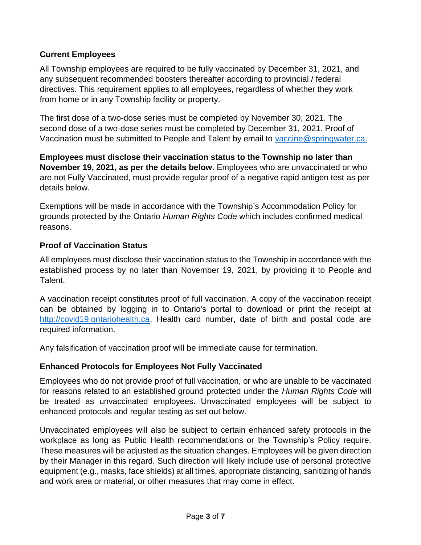### **Current Employees**

All Township employees are required to be fully vaccinated by December 31, 2021, and any subsequent recommended boosters thereafter according to provincial / federal directives. This requirement applies to all employees, regardless of whether they work from home or in any Township facility or property.

The first dose of a two-dose series must be completed by November 30, 2021. The second dose of a two-dose series must be completed by December 31, 2021. Proof of Vaccination must be submitted to People and Talent by email to [vaccine@springwater.ca.](mailto:vaccine@springwater.ca)

**Employees must disclose their vaccination status to the Township no later than November 19, 2021, as per the details below.** Employees who are unvaccinated or who are not Fully Vaccinated, must provide regular proof of a negative rapid antigen test as per details below.

Exemptions will be made in accordance with the Township's Accommodation Policy for grounds protected by the Ontario *Human Rights Code* which includes confirmed medical reasons.

### **Proof of Vaccination Status**

All employees must disclose their vaccination status to the Township in accordance with the established process by no later than November 19, 2021, by providing it to People and Talent.

A vaccination receipt constitutes proof of full vaccination. A copy of the vaccination receipt can be obtained by logging in to Ontario's portal to download or print the receipt at [http://covid19.ontariohealth.ca.](http://covid19.ontariohealth.ca/) Health card number, date of birth and postal code are required information.

Any falsification of vaccination proof will be immediate cause for termination.

### **Enhanced Protocols for Employees Not Fully Vaccinated**

Employees who do not provide proof of full vaccination, or who are unable to be vaccinated for reasons related to an established ground protected under the *Human Rights Code* will be treated as unvaccinated employees. Unvaccinated employees will be subject to enhanced protocols and regular testing as set out below.

Unvaccinated employees will also be subject to certain enhanced safety protocols in the workplace as long as Public Health recommendations or the Township's Policy require. These measures will be adjusted as the situation changes. Employees will be given direction by their Manager in this regard. Such direction will likely include use of personal protective equipment (e.g., masks, face shields) at all times, appropriate distancing, sanitizing of hands and work area or material, or other measures that may come in effect.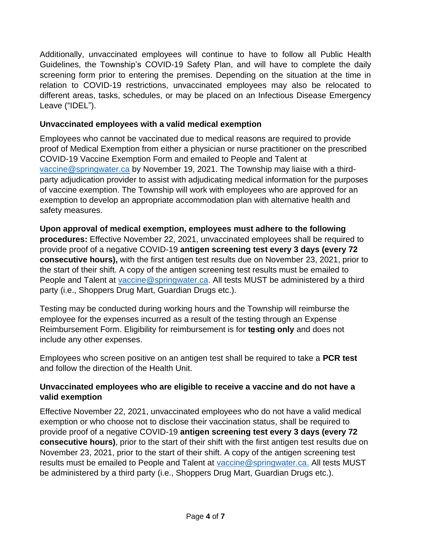Additionally, unvaccinated employees will continue to have to follow all Public Health Guidelines, the Township's COVID-19 Safety Plan, and will have to complete the daily screening form prior to entering the premises. Depending on the situation at the time in relation to COVID-19 restrictions, unvaccinated employees may also be relocated to different areas, tasks, schedules, or may be placed on an Infectious Disease Emergency Leave ("IDEL").

### **Unvaccinated employees with a valid medical exemption**

Employees who cannot be vaccinated due to medical reasons are required to provide proof of Medical Exemption from either a physician or nurse practitioner on the prescribed COVID-19 Vaccine Exemption Form and emailed to People and Talent at [vaccine@springwater.ca](mailto:vaccine@springwater.ca) by November 19, 2021. The Township may liaise with a thirdparty adjudication provider to assist with adjudicating medical information for the purposes of vaccine exemption. The Township will work with employees who are approved for an exemption to develop an appropriate accommodation plan with alternative health and safety measures.

**Upon approval of medical exemption, employees must adhere to the following procedures:** Effective November 22, 2021, unvaccinated employees shall be required to provide proof of a negative COVID-19 **antigen screening test every 3 days (every 72 consecutive hours),** with the first antigen test results due on November 23, 2021, prior to the start of their shift. A copy of the antigen screening test results must be emailed to People and Talent at [vaccine@springwater.ca.](mailto:vaccine@springwater.ca) All tests MUST be administered by a third party (i.e., Shoppers Drug Mart, Guardian Drugs etc.).

Testing may be conducted during working hours and the Township will reimburse the employee for the expenses incurred as a result of the testing through an Expense Reimbursement Form. Eligibility for reimbursement is for **testing only** and does not include any other expenses.

Employees who screen positive on an antigen test shall be required to take a **PCR test**  and follow the direction of the Health Unit.

### **Unvaccinated employees who are eligible to receive a vaccine and do not have a valid exemption**

Effective November 22, 2021, unvaccinated employees who do not have a valid medical exemption or who choose not to disclose their vaccination status, shall be required to provide proof of a negative COVID-19 **antigen screening test every 3 days (every 72 consecutive hours)**, prior to the start of their shift with the first antigen test results due on November 23, 2021, prior to the start of their shift. A copy of the antigen screening test results must be emailed to People and Talent at [vaccine@springwater.ca.](mailto:vaccine@springwater.ca) All tests MUST be administered by a third party (i.e., Shoppers Drug Mart, Guardian Drugs etc.).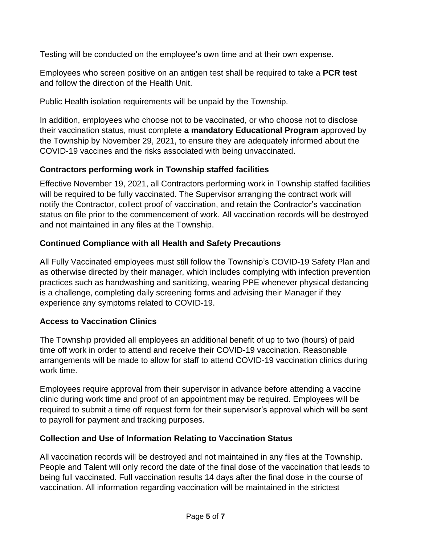Testing will be conducted on the employee's own time and at their own expense.

Employees who screen positive on an antigen test shall be required to take a **PCR test**  and follow the direction of the Health Unit.

Public Health isolation requirements will be unpaid by the Township.

In addition, employees who choose not to be vaccinated, or who choose not to disclose their vaccination status, must complete **a mandatory Educational Program** approved by the Township by November 29, 2021, to ensure they are adequately informed about the COVID-19 vaccines and the risks associated with being unvaccinated.

## **Contractors performing work in Township staffed facilities**

Effective November 19, 2021, all Contractors performing work in Township staffed facilities will be required to be fully vaccinated. The Supervisor arranging the contract work will notify the Contractor, collect proof of vaccination, and retain the Contractor's vaccination status on file prior to the commencement of work. All vaccination records will be destroyed and not maintained in any files at the Township.

# **Continued Compliance with all Health and Safety Precautions**

All Fully Vaccinated employees must still follow the Township's COVID-19 Safety Plan and as otherwise directed by their manager, which includes complying with infection prevention practices such as handwashing and sanitizing, wearing PPE whenever physical distancing is a challenge, completing daily screening forms and advising their Manager if they experience any symptoms related to COVID-19.

## **Access to Vaccination Clinics**

The Township provided all employees an additional benefit of up to two (hours) of paid time off work in order to attend and receive their COVID-19 vaccination. Reasonable arrangements will be made to allow for staff to attend COVID-19 vaccination clinics during work time.

Employees require approval from their supervisor in advance before attending a vaccine clinic during work time and proof of an appointment may be required. Employees will be required to submit a time off request form for their supervisor's approval which will be sent to payroll for payment and tracking purposes.

## **Collection and Use of Information Relating to Vaccination Status**

All vaccination records will be destroyed and not maintained in any files at the Township. People and Talent will only record the date of the final dose of the vaccination that leads to being full vaccinated. Full vaccination results 14 days after the final dose in the course of vaccination. All information regarding vaccination will be maintained in the strictest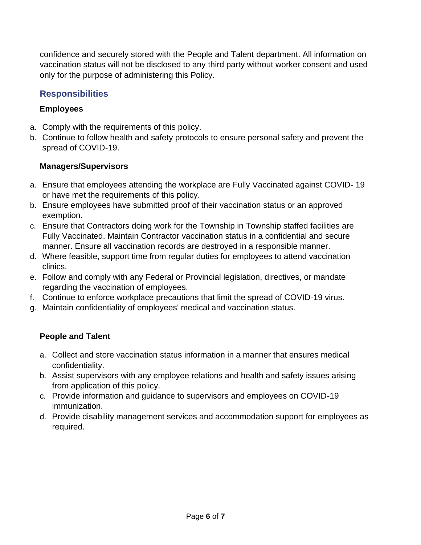confidence and securely stored with the People and Talent department. All information on vaccination status will not be disclosed to any third party without worker consent and used only for the purpose of administering this Policy.

# **Responsibilities**

### **Employees**

- a. Comply with the requirements of this policy.
- b. Continue to follow health and safety protocols to ensure personal safety and prevent the spread of COVID-19.

### **Managers/Supervisors**

- a. Ensure that employees attending the workplace are Fully Vaccinated against COVID- 19 or have met the requirements of this policy.
- b. Ensure employees have submitted proof of their vaccination status or an approved exemption.
- c. Ensure that Contractors doing work for the Township in Township staffed facilities are Fully Vaccinated. Maintain Contractor vaccination status in a confidential and secure manner. Ensure all vaccination records are destroyed in a responsible manner.
- d. Where feasible, support time from regular duties for employees to attend vaccination clinics.
- e. Follow and comply with any Federal or Provincial legislation, directives, or mandate regarding the vaccination of employees.
- f. Continue to enforce workplace precautions that limit the spread of COVID-19 virus.
- g. Maintain confidentiality of employees' medical and vaccination status.

### **People and Talent**

- a. Collect and store vaccination status information in a manner that ensures medical confidentiality.
- b. Assist supervisors with any employee relations and health and safety issues arising from application of this policy.
- c. Provide information and guidance to supervisors and employees on COVID-19 immunization.
- d. Provide disability management services and accommodation support for employees as required.